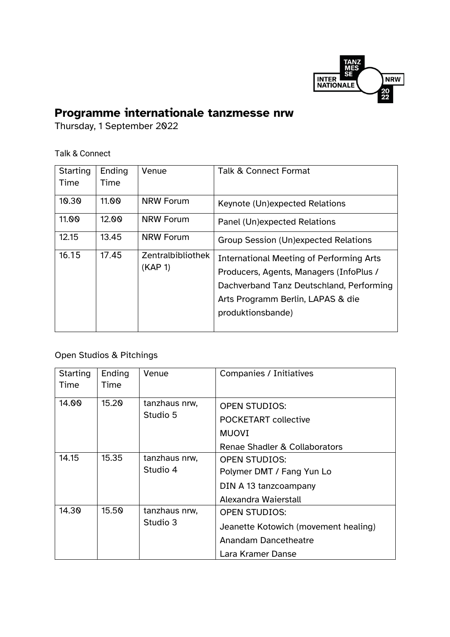

## **Programme internationale tanzmesse nrw**

Thursday, 1 September 2022

## Talk & Connect

| <b>Starting</b><br>Time | Ending<br>Time | Venue                        | <b>Talk &amp; Connect Format</b>                                                                                                                                                                 |
|-------------------------|----------------|------------------------------|--------------------------------------------------------------------------------------------------------------------------------------------------------------------------------------------------|
| 10.30                   | 11.00          | <b>NRW Forum</b>             | Keynote (Un)expected Relations                                                                                                                                                                   |
| 11.00                   | 12.00          | <b>NRW Forum</b>             | Panel (Un)expected Relations                                                                                                                                                                     |
| 12.15                   | 13.45          | <b>NRW Forum</b>             | Group Session (Un)expected Relations                                                                                                                                                             |
| 16.15                   | 17.45          | Zentralbibliothek<br>(KAP 1) | <b>International Meeting of Performing Arts</b><br>Producers, Agents, Managers (InfoPlus /<br>Dachverband Tanz Deutschland, Performing<br>Arts Programm Berlin, LAPAS & die<br>produktionsbande) |

## Open Studios & Pitchings

| Starting<br>Time | Ending<br>Time | Venue                     | <b>Companies / Initiatives</b>                                                                                   |
|------------------|----------------|---------------------------|------------------------------------------------------------------------------------------------------------------|
| 14.00            | 15.20          | tanzhaus nrw,<br>Studio 5 | <b>OPEN STUDIOS:</b><br><b>POCKETART collective</b><br><b>MUOVI</b><br>Renae Shadler & Collaborators             |
| 14.15            | 15.35          | tanzhaus nrw,<br>Studio 4 | <b>OPEN STUDIOS:</b><br>Polymer DMT / Fang Yun Lo<br>DIN A 13 tanzcoampany<br>Alexandra Waierstall               |
| 14.30            | 15.50          | tanzhaus nrw,<br>Studio 3 | <b>OPEN STUDIOS:</b><br>Jeanette Kotowich (movement healing)<br><b>Anandam Dancetheatre</b><br>Lara Kramer Danse |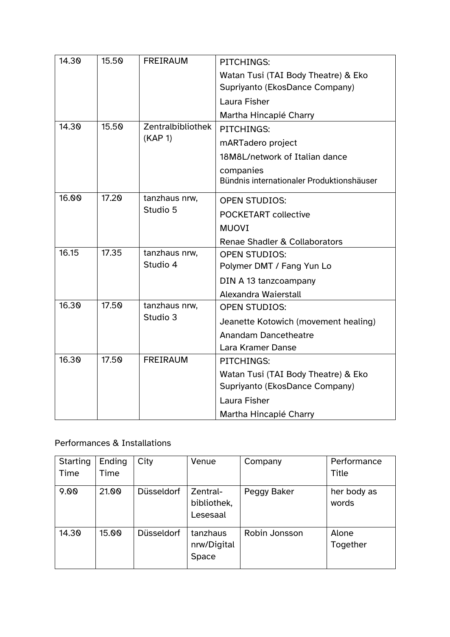| 14.30 | 15.50                  | <b>FREIRAUM</b>              | <b>PITCHINGS:</b>                         |  |
|-------|------------------------|------------------------------|-------------------------------------------|--|
|       |                        |                              | Watan Tusi (TAI Body Theatre) & Eko       |  |
|       |                        |                              | Supriyanto (EkosDance Company)            |  |
|       |                        |                              | Laura Fisher                              |  |
|       |                        |                              | Martha Hincapié Charry                    |  |
| 14.30 | 15.50                  | Zentralbibliothek<br>(KAP 1) | PITCHINGS:                                |  |
|       |                        |                              | mARTadero project                         |  |
|       |                        |                              | 18M8L/network of Italian dance            |  |
|       |                        |                              | companies                                 |  |
|       |                        |                              | Bündnis internationaler Produktionshäuser |  |
| 16.00 | 17.20                  | tanzhaus nrw,<br>Studio 5    | <b>OPEN STUDIOS:</b>                      |  |
|       |                        |                              | <b>POCKETART collective</b>               |  |
|       |                        |                              | <b>MUOVI</b>                              |  |
|       |                        |                              | Renae Shadler & Collaborators             |  |
| 16.15 | 17.35<br>tanzhaus nrw, |                              | <b>OPEN STUDIOS:</b>                      |  |
|       |                        | Studio 4                     | Polymer DMT / Fang Yun Lo                 |  |
|       |                        |                              | DIN A 13 tanzcoampany                     |  |
|       |                        |                              | Alexandra Waierstall                      |  |
| 16.30 | 17.50                  | tanzhaus nrw,<br>Studio 3    | <b>OPEN STUDIOS:</b>                      |  |
|       |                        |                              | Jeanette Kotowich (movement healing)      |  |
|       |                        |                              | <b>Anandam Dancetheatre</b>               |  |
|       |                        |                              | Lara Kramer Danse                         |  |
| 16.30 | 17.50                  | <b>FREIRAUM</b>              | PITCHINGS:                                |  |
|       |                        |                              | Watan Tusi (TAI Body Theatre) & Eko       |  |
|       |                        |                              | Supriyanto (EkosDance Company)            |  |
|       |                        |                              | Laura Fisher                              |  |
|       |                        |                              | Martha Hincapié Charry                    |  |

## Performances & Installations

| Starting<br>Time | Ending<br>Time | City              | Venue                               | Company       | Performance<br><b>Title</b> |
|------------------|----------------|-------------------|-------------------------------------|---------------|-----------------------------|
| 9.00             | 21.00          | <b>Düsseldorf</b> | Zentral-<br>bibliothek,<br>Lesesaal | Peggy Baker   | her body as<br>words        |
| 14.30            | 15.00          | <b>Düsseldorf</b> | tanzhaus<br>nrw/Digital<br>Space    | Robin Jonsson | Alone<br>Together           |